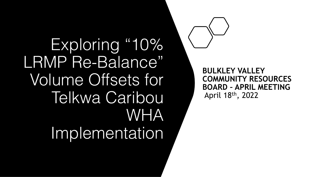Exploring "10% LRMP Re-Balance" Volume Offsets for Telkwa Caribou WHA Implementation



**BULKLEY VALLEY COMMUNITY RESOURCES BOARD – APRIL MEETING**  April 18th, 2022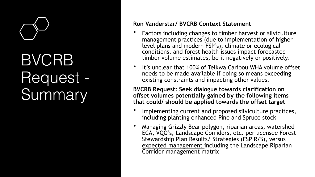

# BVCRB Request - Summary

### **Ron Vanderstar/ BVCRB Context Statement**

- Factors including changes to timber harvest or silviculture management practices (due to implementation of higher level plans and modern FSP's); climate or ecological conditions, and forest health issues impact forecasted timber volume estimates, be it negatively or positively.
- It's unclear that 100% of Telkwa Caribou WHA volume offset needs to be made available if doing so means exceeding existing constraints and impacting other values.

**BVCRB Request: Seek dialogue towards clarification on offset volumes potentially gained by the following items that could/ should be applied towards the offset target**

- Implementing current and proposed silviculture practices, including planting enhanced Pine and Spruce stock
- Managing Grizzly Bear polygon, riparian areas, watershed ECA, VQO's, Landscape Corridors, etc. per licensee Forest Stewardship Plan Results/ Strategies (FSP R/S), versus expected management including the Landscape Riparian Corridor management matrix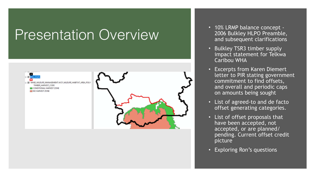# Presentation Overview • 10% LRMP balance concept - 10% LRMP balance concept -



- 2006 Bulkley HLPO Preamble, and subsequent clarifications
- Bulkley TSR3 timber supply impact statement for Telkwa Caribou WHA
- Excerpts from Karen Diemert letter to PIR stating government commitment to find offsets, and overall and periodic caps on amounts being sought
- List of agreed-to and de facto offset generating categories.
- List of offset proposals that have been accepted, not accepted, or are planned/ pending. Current offset credit picture
- Exploring Ron's questions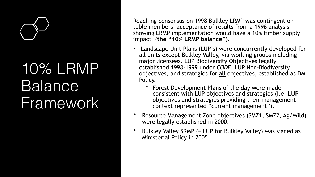# 10% LRMP Balance Framework

Reaching consensus on 1998 Bulkley LRMP was contingent on table members' acceptance of results from a 1996 analysis showing LRMP implementation would have a 10% timber supply impact (**the "10% LRMP balance").**

- Landscape Unit Plans (LUP's) were concurrently developed for all units except Bulkley Valley, via working groups including major licensees. LUP Biodiversity Objectives legally established 1998-1999 under *CODE*. LUP Non-Biodiversity objectives, and strategies for all objectives, established as DM Policy.
	- $\circ$  Forest Development Plans of the day were made consistent with LUP objectives and strategies (i.e. **LUP** objectives and strategies providing their management context represented "current management").
- Resource Management Zone objectives (SMZ1, SMZ2, Ag/Wild) were legally established in 2000.
- Bulkley Valley SRMP (= LUP for Bulkley Valley) was signed as Ministerial Policy in 2005.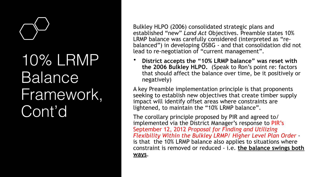

# 10% LRMP Balance Framework, Cont'd

Bulkley HLPO (2006) consolidated strategic plans and established "new" *Land Act* Objectives. Preamble states 10% LRMP balance was carefully considered (interpreted as "rebalanced") in developing OSBG - and that consolidation did not lead to re-negotiation of "current management".

• **District accepts the "10% LRMP balance" was reset with the 2006 Bulkley HLPO.** (Speak to Ron's point re: factors that should affect the balance over time, be it positively or negatively)

A key Preamble implementation principle is that proponents seeking to establish new objectives that create timber supply impact will identify offset areas where constraints are lightened, to maintain the "10% LRMP balance".

The corollary principle proposed by PIR and agreed to/ implemented via the District Manager's response to PIR's September 12, 2012 *Proposal for Finding and Utilizing Flexibility Within the Bulkley LRMP/ Higher Level Plan Order*  is that the 10% LRMP balance also applies to situations where constraint is removed or reduced - i.e. **the balance swings both ways**.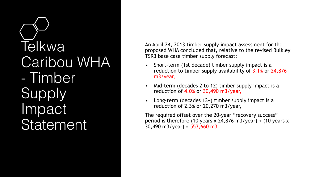Telkwa Caribou WHA - Timber **Supply** Impact **Statement** 

An April 24, 2013 timber supply impact assessment for the proposed WHA concluded that, relative to the revised Bulkley TSR3 base case timber supply forecast:

- Short-term (1st decade) timber supply impact is a reduction to timber supply availability of 3.1% or 24,876 m3/year,
- Mid-term (decades 2 to 12) timber supply impact is a reduction of 4.0% or 30,490 m3/year,
- Long-term (decades  $13+$ ) timber supply impact is a reduction of 2.3% or 20,270 m3/year,

The required offset over the 20-year "recovery success" period is therefore (10 years x 24,876 m3/year)  $+$  (10 years x  $30,490 \text{ m3/year} = 553,660 \text{ m3}$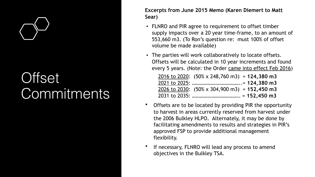

# **Offset Commitments**

### **Excerpts from June 2015 Memo (Karen Diemert to Matt Sear)**

- FLNRO and PIR agree to requirement to offset timber supply impacts over a 20 year time-frame, to an amount of 553,660 m3. (To Ron's question re: must 100% of offset volume be made available)
- The parties will work collaboratively to locate offsets. Offsets will be calculated in 10 year increments and found every 5 years. (Note: the Order came into effect Feb 2016)

| 2016 to 2020: $(50\% \times 248,760 \text{ m3}) = 124,380 \text{ m3}$ |  |
|-----------------------------------------------------------------------|--|
|                                                                       |  |
| 2026 to 2030: $(50\% \times 304,900 \text{ m3}) = 152,450 \text{ m3}$ |  |
|                                                                       |  |

- Offsets are to be located by providing PIR the opportunity to harvest in areas currently reserved from harvest under the 2006 Bulkley HLPO. Alternately, it may be done by facilitating amendments to results and strategies in PIR's approved FSP to provide additional management flexibility.
- If necessary, FLNRO will lead any process to amend objectives in the Bulkley TSA.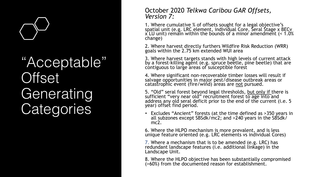

### "Acceptable" **Offset** Generating **Categories**

### October 2020 *Telkwa Caribou GAR Offsets, Version 7:*

1. Where cumulative % of offsets sought for a legal objective's spatial unit (e.g. LRC element, individual Core, Seral Stage x BECv x LU unit) remain within the bounds of a minor amendment (< 1.0% change)

2. Where harvest directly furthers Wildfire Risk Reduction (WRR) goals within the 2.75 km extended WUI area

3. Where harvest targets stands with high levels of current attack by a forest-killing agent (e.g. spruce beetle, pine beetle) that are contiguous to large areas of susceptible forest

4. Where significant non-recoverable timber losses will result if salvage opportunities in major pest/disease outbreak areas or catastrophic event (fire/wind) areas are not pursued.

5. "Old" seral forest beyond legal thresholds, but only if there is sufficient "very near old" recruitment forest to age into and address any old seral deficit prior to the end of the current (i.e. 5 year) offset find period.

• Excludes "Ancient" forests (at the time defined as >350 years in all subzones except SBSdk/mc2; and >240 years in the SBSdk/  $mc2$ .

6. Where the HLPO mechanism is more prevalent, and is less unique feature oriented (e.g. LRC elements vs individual Cores)

7. Where a mechanism that is to be amended (e.g. LRC) has redundant landscape features (i.e. additional linkage) in the Landscape Unit.

8. Where the HLPO objective has been substantially compromised (>60%) from the documented reason for establishment.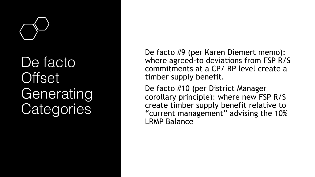

### De facto **Offset** Generating **Categories**

De facto #9 (per Karen Diemert memo): where agreed-to deviations from FSP R/S commitments at a CP/ RP level create a timber supply benefit.

De facto #10 (per District Manager corollary principle): where new FSP R/S create timber supply benefit relative to "current management" advising the 10% LRMP Balance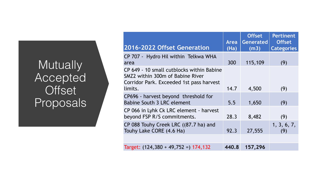Mutually Accepted Offset Proposals

| 2016-2022 Offset Generation                                                                                                          | <b>Area</b><br>(Ha) | <b>Offset</b><br><b>Generated</b><br>(m3) | <b>Pertinent</b><br><b>Offset</b><br><b>Categories</b> |
|--------------------------------------------------------------------------------------------------------------------------------------|---------------------|-------------------------------------------|--------------------------------------------------------|
|                                                                                                                                      |                     |                                           |                                                        |
| CP 707 - Hydro Hil within Telkwa WHA<br>area                                                                                         | 300                 | 115,109                                   | (9)                                                    |
| CP 649 - 10 small cutblocks within Babine<br>SMZ2 within 300m of Babine River<br>Corridor Park. Exceeded 1st pass harvest<br>limits. | 14.7                | 4,500                                     | (9)                                                    |
| CP696 - harvest beyond threshold for<br>Babine South 3 LRC element                                                                   | 5.5                 | 1,650                                     | (9)                                                    |
| CP 066 in Lyhk Ck LRC element - harvest<br>beyond FSP R/S commitments.                                                               | 28.3                | 8,482                                     | (9)                                                    |
| CP 088 Touhy Creek LRC ((87.7 ha) and<br>Touhy Lake CORE (4.6 Ha)                                                                    | 92.3                | 27,555                                    | 1, 3, 6, 7,<br>(9)                                     |
|                                                                                                                                      |                     |                                           |                                                        |
| Target: (124,380 + 49,752 =) 174,132                                                                                                 | 440.8               | 157,296                                   |                                                        |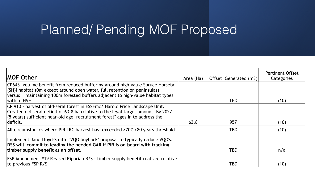### Planned/ Pending MOF Proposed

| <b>MOF Other</b>                                                                                                                                                                                                                                               | Area (Ha) | Offset Generated (m3) | <b>Pertinent Offset</b><br>Categories |
|----------------------------------------------------------------------------------------------------------------------------------------------------------------------------------------------------------------------------------------------------------------|-----------|-----------------------|---------------------------------------|
| CP643 -volume benefit from reduced buffering around high-value Spruce Horsetai<br>(SH)I habitat (0m except around open water, full retention on peninsulas)<br>maintaining 100m forested buffers adjacent to high-value habitat types<br>versus<br>within HVH  |           | <b>TBD</b>            | (10)                                  |
| CP 910 - harvest of old-seral forest in ESSFmc/ Harold Price Landscape Unit.<br>Created old seral deficit of 63.8 ha relative to the legal target amount. By 2022<br>(5 years) sufficient near-old age "recruitment forest" ages in to address the<br>deficit. | 63.8      | 957                   | (10)                                  |
| All circumstances where PIR LRC harvest has; exceeded >70% >80 years threshold                                                                                                                                                                                 |           | TBD                   | (10)                                  |
| Implement Jane Lloyd-Smith "VQO buyback" proposal to typically reduce VQO's.<br>DSS will commit to leading the needed GAR if PIR is on-board with tracking<br>timber supply benefit as an offset.                                                              |           | TBD                   | n/a                                   |
| <b>FSP Amendment #19 Revised Riparian R/S - timber supply benefit realized relative</b><br>to previous FSP R/S                                                                                                                                                 |           | TBD                   | (10)                                  |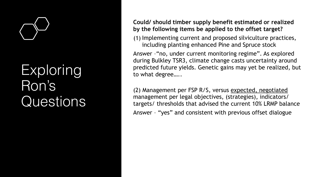

### Exploring Ron's **Questions**

**Could/ should timber supply benefit estimated or realized by the following items be applied to the offset target?**

(1) Implementing current and proposed silviculture practices, including planting enhanced Pine and Spruce stock

Answer –"no, under current monitoring regime". As explored during Bulkley TSR3, climate change casts uncertainty around predicted future yields. Genetic gains may yet be realized, but to what degree…..

(2) Management per FSP R/S, versus expected, negotiated management per legal objectives, (strategies), indicators/ targets/ thresholds that advised the current 10% LRMP balance Answer – "yes" and consistent with previous offset dialogue